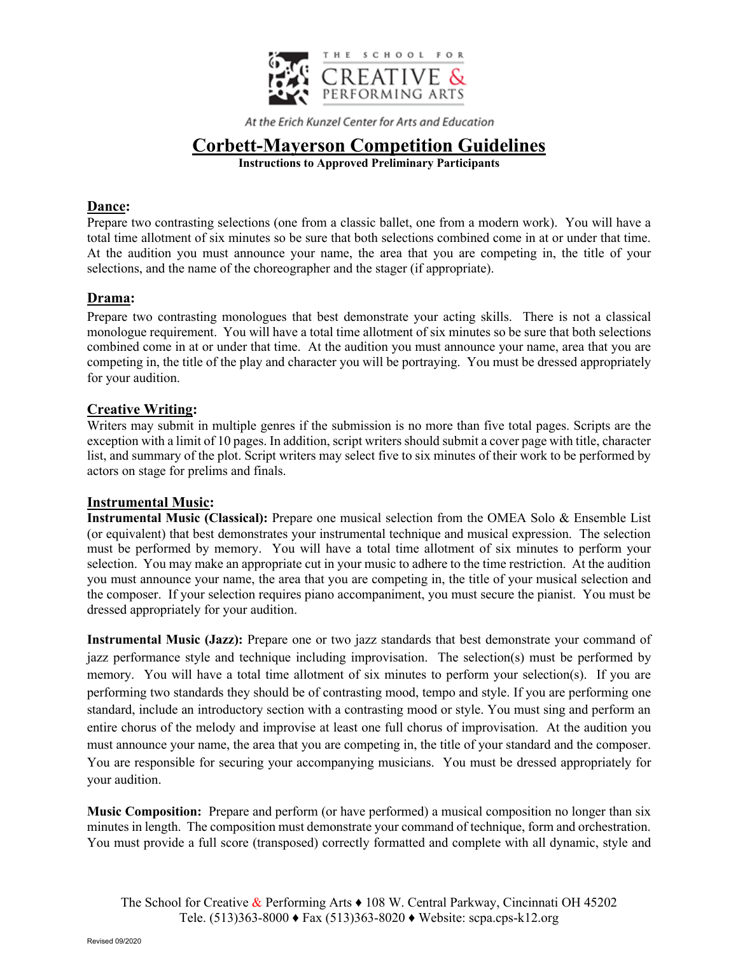

# **Corbett-Mayerson Competition Guidelines**

**Instructions to Approved Preliminary Participants**

## **Dance:**

Prepare two contrasting selections (one from a classic ballet, one from a modern work). You will have a total time allotment of six minutes so be sure that both selections combined come in at or under that time. At the audition you must announce your name, the area that you are competing in, the title of your selections, and the name of the choreographer and the stager (if appropriate).

# **Drama:**

Prepare two contrasting monologues that best demonstrate your acting skills. There is not a classical monologue requirement. You will have a total time allotment of six minutes so be sure that both selections combined come in at or under that time. At the audition you must announce your name, area that you are competing in, the title of the play and character you will be portraying. You must be dressed appropriately for your audition.

# **Creative Writing:**

Writers may submit in multiple genres if the submission is no more than five total pages. Scripts are the exception with a limit of 10 pages. In addition, script writers should submit a cover page with title, character list, and summary of the plot. Script writers may select five to six minutes of their work to be performed by actors on stage for prelims and finals.

## **Instrumental Music:**

**Instrumental Music (Classical):** Prepare one musical selection from the OMEA Solo & Ensemble List (or equivalent) that best demonstrates your instrumental technique and musical expression. The selection must be performed by memory. You will have a total time allotment of six minutes to perform your selection. You may make an appropriate cut in your music to adhere to the time restriction. At the audition you must announce your name, the area that you are competing in, the title of your musical selection and the composer. If your selection requires piano accompaniment, you must secure the pianist. You must be dressed appropriately for your audition.

**Instrumental Music (Jazz):** Prepare one or two jazz standards that best demonstrate your command of jazz performance style and technique including improvisation. The selection(s) must be performed by memory. You will have a total time allotment of six minutes to perform your selection(s). If you are performing two standards they should be of contrasting mood, tempo and style. If you are performing one standard, include an introductory section with a contrasting mood or style. You must sing and perform an entire chorus of the melody and improvise at least one full chorus of improvisation. At the audition you must announce your name, the area that you are competing in, the title of your standard and the composer. You are responsible for securing your accompanying musicians. You must be dressed appropriately for your audition.

**Music Composition:** Prepare and perform (or have performed) a musical composition no longer than six minutes in length. The composition must demonstrate your command of technique, form and orchestration. You must provide a full score (transposed) correctly formatted and complete with all dynamic, style and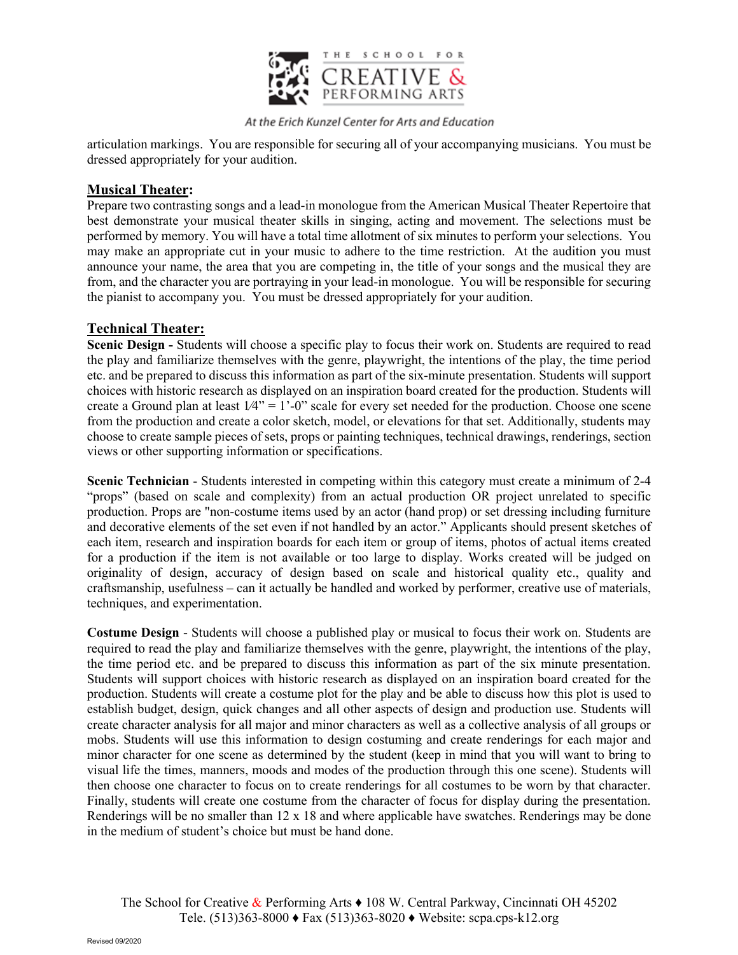

articulation markings. You are responsible for securing all of your accompanying musicians. You must be dressed appropriately for your audition.

#### **Musical Theater:**

Prepare two contrasting songs and a lead-in monologue from the American Musical Theater Repertoire that best demonstrate your musical theater skills in singing, acting and movement. The selections must be performed by memory. You will have a total time allotment of six minutes to perform your selections. You may make an appropriate cut in your music to adhere to the time restriction. At the audition you must announce your name, the area that you are competing in, the title of your songs and the musical they are from, and the character you are portraying in your lead-in monologue. You will be responsible for securing the pianist to accompany you. You must be dressed appropriately for your audition.

#### **Technical Theater:**

**Scenic Design -** Students will choose a specific play to focus their work on. Students are required to read the play and familiarize themselves with the genre, playwright, the intentions of the play, the time period etc. and be prepared to discuss this information as part of the six-minute presentation. Students will support choices with historic research as displayed on an inspiration board created for the production. Students will create a Ground plan at least  $1/4$ " = 1'-0" scale for every set needed for the production. Choose one scene from the production and create a color sketch, model, or elevations for that set. Additionally, students may choose to create sample pieces of sets, props or painting techniques, technical drawings, renderings, section views or other supporting information or specifications.

**Scenic Technician** - Students interested in competing within this category must create a minimum of 2-4 "props" (based on scale and complexity) from an actual production OR project unrelated to specific production. Props are "non-costume items used by an actor (hand prop) or set dressing including furniture and decorative elements of the set even if not handled by an actor." Applicants should present sketches of each item, research and inspiration boards for each item or group of items, photos of actual items created for a production if the item is not available or too large to display. Works created will be judged on originality of design, accuracy of design based on scale and historical quality etc., quality and craftsmanship, usefulness – can it actually be handled and worked by performer, creative use of materials, techniques, and experimentation.

**Costume Design** - Students will choose a published play or musical to focus their work on. Students are required to read the play and familiarize themselves with the genre, playwright, the intentions of the play, the time period etc. and be prepared to discuss this information as part of the six minute presentation. Students will support choices with historic research as displayed on an inspiration board created for the production. Students will create a costume plot for the play and be able to discuss how this plot is used to establish budget, design, quick changes and all other aspects of design and production use. Students will create character analysis for all major and minor characters as well as a collective analysis of all groups or mobs. Students will use this information to design costuming and create renderings for each major and minor character for one scene as determined by the student (keep in mind that you will want to bring to visual life the times, manners, moods and modes of the production through this one scene). Students will then choose one character to focus on to create renderings for all costumes to be worn by that character. Finally, students will create one costume from the character of focus for display during the presentation. Renderings will be no smaller than 12 x 18 and where applicable have swatches. Renderings may be done in the medium of student's choice but must be hand done.

The School for Creative  $\&$  Performing Arts  $\bullet$  108 W. Central Parkway, Cincinnati OH 45202 Tele. (513)363-8000 ♦ Fax (513)363-8020 ♦ Website: scpa.cps-k12.org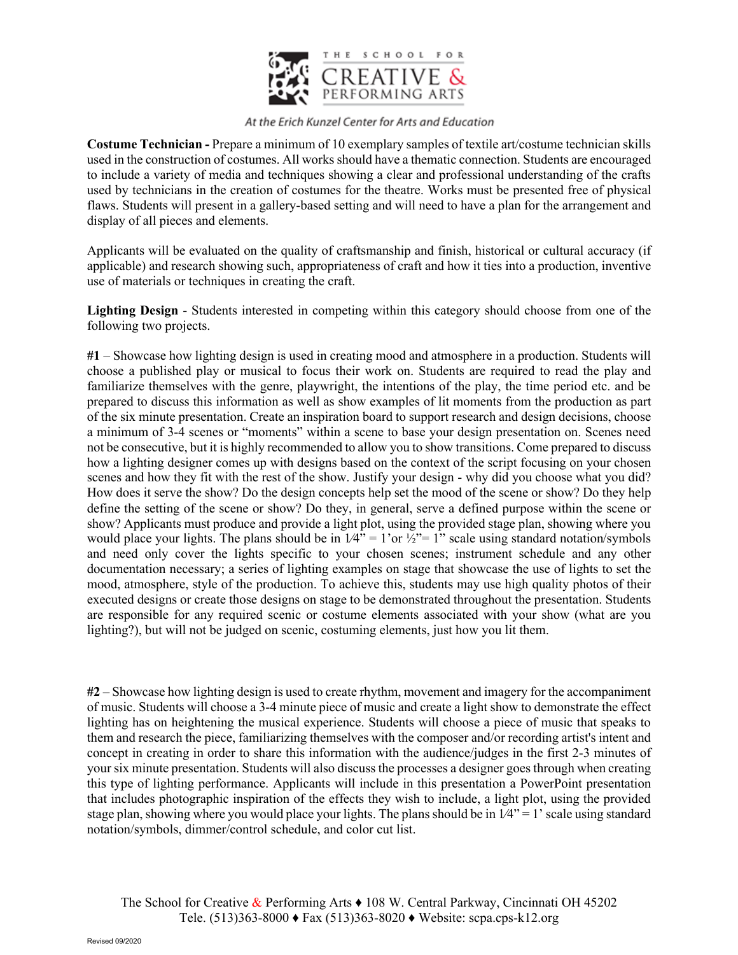

**Costume Technician -** Prepare a minimum of 10 exemplary samples of textile art/costume technician skills used in the construction of costumes. All works should have a thematic connection. Students are encouraged to include a variety of media and techniques showing a clear and professional understanding of the crafts used by technicians in the creation of costumes for the theatre. Works must be presented free of physical flaws. Students will present in a gallery-based setting and will need to have a plan for the arrangement and display of all pieces and elements.

Applicants will be evaluated on the quality of craftsmanship and finish, historical or cultural accuracy (if applicable) and research showing such, appropriateness of craft and how it ties into a production, inventive use of materials or techniques in creating the craft.

**Lighting Design** - Students interested in competing within this category should choose from one of the following two projects.

**#1** – Showcase how lighting design is used in creating mood and atmosphere in a production. Students will choose a published play or musical to focus their work on. Students are required to read the play and familiarize themselves with the genre, playwright, the intentions of the play, the time period etc. and be prepared to discuss this information as well as show examples of lit moments from the production as part of the six minute presentation. Create an inspiration board to support research and design decisions, choose a minimum of 3-4 scenes or "moments" within a scene to base your design presentation on. Scenes need not be consecutive, but it is highly recommended to allow you to show transitions. Come prepared to discuss how a lighting designer comes up with designs based on the context of the script focusing on your chosen scenes and how they fit with the rest of the show. Justify your design - why did you choose what you did? How does it serve the show? Do the design concepts help set the mood of the scene or show? Do they help define the setting of the scene or show? Do they, in general, serve a defined purpose within the scene or show? Applicants must produce and provide a light plot, using the provided stage plan, showing where you would place your lights. The plans should be in  $1/4$ " = 1'or  $\frac{1}{2}$ " = 1" scale using standard notation/symbols and need only cover the lights specific to your chosen scenes; instrument schedule and any other documentation necessary; a series of lighting examples on stage that showcase the use of lights to set the mood, atmosphere, style of the production. To achieve this, students may use high quality photos of their executed designs or create those designs on stage to be demonstrated throughout the presentation. Students are responsible for any required scenic or costume elements associated with your show (what are you lighting?), but will not be judged on scenic, costuming elements, just how you lit them.

**#2** – Showcase how lighting design is used to create rhythm, movement and imagery for the accompaniment of music. Students will choose a 3-4 minute piece of music and create a light show to demonstrate the effect lighting has on heightening the musical experience. Students will choose a piece of music that speaks to them and research the piece, familiarizing themselves with the composer and/or recording artist's intent and concept in creating in order to share this information with the audience/judges in the first 2-3 minutes of your six minute presentation. Students will also discuss the processes a designer goes through when creating this type of lighting performance. Applicants will include in this presentation a PowerPoint presentation that includes photographic inspiration of the effects they wish to include, a light plot, using the provided stage plan, showing where you would place your lights. The plans should be in  $1/4$ " = 1' scale using standard notation/symbols, dimmer/control schedule, and color cut list.

The School for Creative  $\&$  Performing Arts  $\bullet$  108 W. Central Parkway, Cincinnati OH 45202 Tele. (513)363-8000 ♦ Fax (513)363-8020 ♦ Website: scpa.cps-k12.org